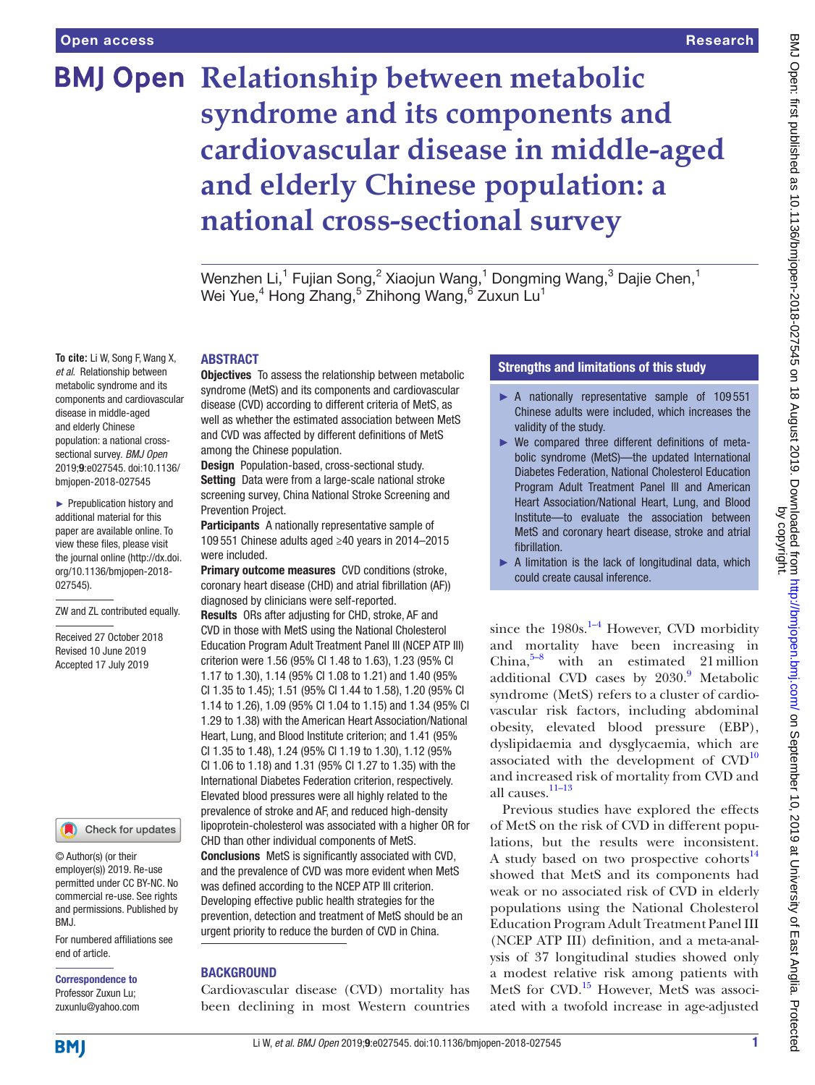**To cite:** Li W, Song F, Wang X, *et al*. Relationship between metabolic syndrome and its components and cardiovascular disease in middle-aged and elderly Chinese population: a national crosssectional survey. *BMJ Open* 2019;9:e027545. doi:10.1136/ bmjopen-2018-027545 ► Prepublication history and additional material for this paper are available online. To view these files, please visit the journal online (http://dx.doi. org/10.1136/bmjopen-2018-

027545).

ZW and ZL contributed equally. Received 27 October 2018 Revised 10 June 2019 Accepted 17 July 2019

# **BMJ Open Relationship between metabolic syndrome and its components and cardiovascular disease in middle-aged and elderly Chinese population: a national cross-sectional survey**

Wenzhen Li,<sup>1</sup> Fujian Song,<sup>2</sup> Xiaojun Wang,<sup>1</sup> Dongming Wang,<sup>3</sup> Dajie Chen,<sup>1</sup> Wei Yue, $^4$  Hong Zhang, $^5$  Zhihong Wang, $^6$  Zuxun Lu $^1$ 

#### **ABSTRACT**

**Objectives** To assess the relationship between metabolic syndrome (MetS) and its components and cardiovascular disease (CVD) according to different criteria of MetS, as well as whether the estimated association between MetS and CVD was affected by different definitions of MetS among the Chinese population.

Design Population-based, cross-sectional study. Setting Data were from a large-scale national stroke screening survey, China National Stroke Screening and Prevention Project.

Participants A nationally representative sample of 109 551 Chinese adults aged ≥40 years in 2014–2015 were included.

Primary outcome measures CVD conditions (stroke, coronary heart disease (CHD) and atrial fibrillation (AF)) diagnosed by clinicians were self-reported.

Results ORs after adjusting for CHD, stroke, AF and CVD in those with MetS using the National Cholesterol Education Program Adult Treatment Panel III (NCEP ATP III) criterion were 1.56 (95% CI 1.48 to 1.63), 1.23 (95% CI 1.17 to 1.30), 1.14 (95% CI 1.08 to 1.21) and 1.40 (95% CI 1.35 to 1.45); 1.51 (95% CI 1.44 to 1.58), 1.20 (95% CI 1.14 to 1.26), 1.09 (95% CI 1.04 to 1.15) and 1.34 (95% CI 1.29 to 1.38) with the American Heart Association/National Heart, Lung, and Blood Institute criterion; and 1.41 (95% CI 1.35 to 1.48), 1.24 (95% CI 1.19 to 1.30), 1.12 (95% CI 1.06 to 1.18) and 1.31 (95% CI 1.27 to 1.35) with the International Diabetes Federation criterion, respectively. Elevated blood pressures were all highly related to the prevalence of stroke and AF, and reduced high-density lipoprotein-cholesterol was associated with a higher OR for CHD than other individual components of MetS. Conclusions MetS is significantly associated with CVD, and the prevalence of CVD was more evident when MetS was defined according to the NCEP ATP III criterion. Developing effective public health strategies for the prevention, detection and treatment of MetS should be an urgent priority to reduce the burden of CVD in China.

# **BACKGROUND**

Cardiovascular disease (CVD) mortality has been declining in most Western countries

# Strengths and limitations of this study

- ► A nationally representative sample of 109 551 Chinese adults were included, which increases the validity of the study.
- ► We compared three different definitions of metabolic syndrome (MetS)—the updated International Diabetes Federation, National Cholesterol Education Program Adult Treatment Panel III and American Heart Association/National Heart, Lung, and Blood Institute—to evaluate the association between MetS and coronary heart disease, stroke and atrial fibrillation.
- ▶ A limitation is the lack of longitudinal data, which could create causal inference.

since the 1980s. $1-4$  However, CVD morbidity and mortality have been increasing in China, $5-8$  with an estimated 21 million additional CVD cases by 2030.<sup>9</sup> Metabolic syndrome (MetS) refers to a cluster of cardiovascular risk factors, including abdominal obesity, elevated blood pressure (EBP), dyslipidaemia and dysglycaemia, which are associated with the development of  $CVD<sup>10</sup>$  $CVD<sup>10</sup>$  $CVD<sup>10</sup>$ and increased risk of mortality from CVD and all causes.<sup>11-13</sup>

Previous studies have explored the effects of MetS on the risk of CVD in different populations, but the results were inconsistent. A study based on two prospective cohorts $^{14}$  $^{14}$  $^{14}$ showed that MetS and its components had weak or no associated risk of CVD in elderly populations using the National Cholesterol Education Program Adult Treatment Panel III (NCEP ATP III) definition, and a meta-analysis of 37 longitudinal studies showed only a modest relative risk among patients with MetS for CVD.<sup>[15](#page-6-6)</sup> However, MetS was associated with a twofold increase in age-adjusted

end of article.

BMJ.

Correspondence to Professor Zuxun Lu; zuxunlu@yahoo.com

© Author(s) (or their employer(s)) 2019. Re-use permitted under CC BY-NC. No commercial re-use. See rights and permissions. Published by

For numbered affiliations see

Check for updates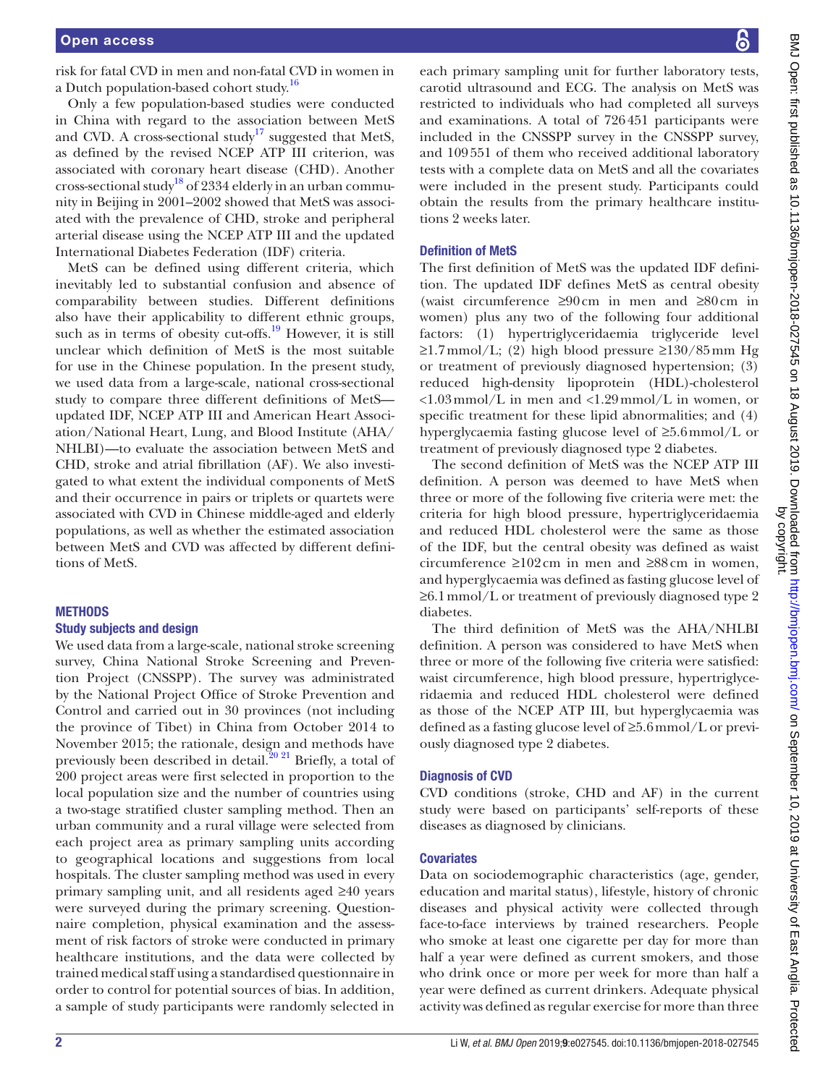risk for fatal CVD in men and non-fatal CVD in women in a Dutch population-based cohort study.[16](#page-6-7)

Only a few population-based studies were conducted in China with regard to the association between MetS and CVD. A cross-sectional study<sup>17</sup> suggested that MetS, as defined by the revised NCEP ATP III criterion, was associated with coronary heart disease (CHD). Another cross-sectional study<sup>[18](#page-6-9)</sup> of 2334 elderly in an urban community in Beijing in 2001–2002 showed that MetS was associated with the prevalence of CHD, stroke and peripheral arterial disease using the NCEP ATP III and the updated International Diabetes Federation (IDF) criteria.

MetS can be defined using different criteria, which inevitably led to substantial confusion and absence of comparability between studies. Different definitions also have their applicability to different ethnic groups, such as in terms of obesity cut-offs.<sup>[19](#page-6-10)</sup> However, it is still unclear which definition of MetS is the most suitable for use in the Chinese population. In the present study, we used data from a large-scale, national cross-sectional study to compare three different definitions of MetS updated IDF, NCEP ATP III and American Heart Association/National Heart, Lung, and Blood Institute (AHA/ NHLBI)—to evaluate the association between MetS and CHD, stroke and atrial fibrillation (AF). We also investigated to what extent the individual components of MetS and their occurrence in pairs or triplets or quartets were associated with CVD in Chinese middle-aged and elderly populations, as well as whether the estimated association between MetS and CVD was affected by different definitions of MetS.

#### **METHODS**

#### Study subjects and design

We used data from a large-scale, national stroke screening survey, China National Stroke Screening and Prevention Project (CNSSPP). The survey was administrated by the National Project Office of Stroke Prevention and Control and carried out in 30 provinces (not including the province of Tibet) in China from October 2014 to November 2015; the rationale, design and methods have previously been described in detail.<sup>20 21</sup> Briefly, a total of 200 project areas were first selected in proportion to the local population size and the number of countries using a two-stage stratified cluster sampling method. Then an urban community and a rural village were selected from each project area as primary sampling units according to geographical locations and suggestions from local hospitals. The cluster sampling method was used in every primary sampling unit, and all residents aged ≥40 years were surveyed during the primary screening. Questionnaire completion, physical examination and the assessment of risk factors of stroke were conducted in primary healthcare institutions, and the data were collected by trained medical staff using a standardised questionnaire in order to control for potential sources of bias. In addition, a sample of study participants were randomly selected in

each primary sampling unit for further laboratory tests, carotid ultrasound and ECG. The analysis on MetS was restricted to individuals who had completed all surveys and examinations. A total of 726451 participants were included in the CNSSPP survey in the CNSSPP survey, and 109551 of them who received additional laboratory tests with a complete data on MetS and all the covariates were included in the present study. Participants could obtain the results from the primary healthcare institutions 2 weeks later.

### Definition of MetS

The first definition of MetS was the updated IDF definition. The updated IDF defines MetS as central obesity (waist circumference ≥90cm in men and ≥80cm in women) plus any two of the following four additional factors: (1) hypertriglyceridaemia triglyceride level  $≥1.7$ mmol/L; (2) high blood pressure  $≥130/85$ mm Hg or treatment of previously diagnosed hypertension; (3) reduced high-density lipoprotein (HDL)-cholesterol <1.03mmol/L in men and <1.29mmol/L in women, or specific treatment for these lipid abnormalities; and (4) hyperglycaemia fasting glucose level of ≥5.6mmol/L or treatment of previously diagnosed type 2 diabetes.

The second definition of MetS was the NCEP ATP III definition. A person was deemed to have MetS when three or more of the following five criteria were met: the criteria for high blood pressure, hypertriglyceridaemia and reduced HDL cholesterol were the same as those of the IDF, but the central obesity was defined as waist circumference ≥102cm in men and ≥88cm in women, and hyperglycaemia was defined as fasting glucose level of  $\geq 6.1$  mmol/L or treatment of previously diagnosed type 2 diabetes.

The third definition of MetS was the AHA/NHLBI definition. A person was considered to have MetS when three or more of the following five criteria were satisfied: waist circumference, high blood pressure, hypertriglyceridaemia and reduced HDL cholesterol were defined as those of the NCEP ATP III, but hyperglycaemia was defined as a fasting glucose level of ≥5.6mmol/L or previously diagnosed type 2 diabetes.

### Diagnosis of CVD

CVD conditions (stroke, CHD and AF) in the current study were based on participants' self-reports of these diseases as diagnosed by clinicians.

## **Covariates**

Data on sociodemographic characteristics (age, gender, education and marital status), lifestyle, history of chronic diseases and physical activity were collected through face-to-face interviews by trained researchers. People who smoke at least one cigarette per day for more than half a year were defined as current smokers, and those who drink once or more per week for more than half a year were defined as current drinkers. Adequate physical activity was defined as regular exercise for more than three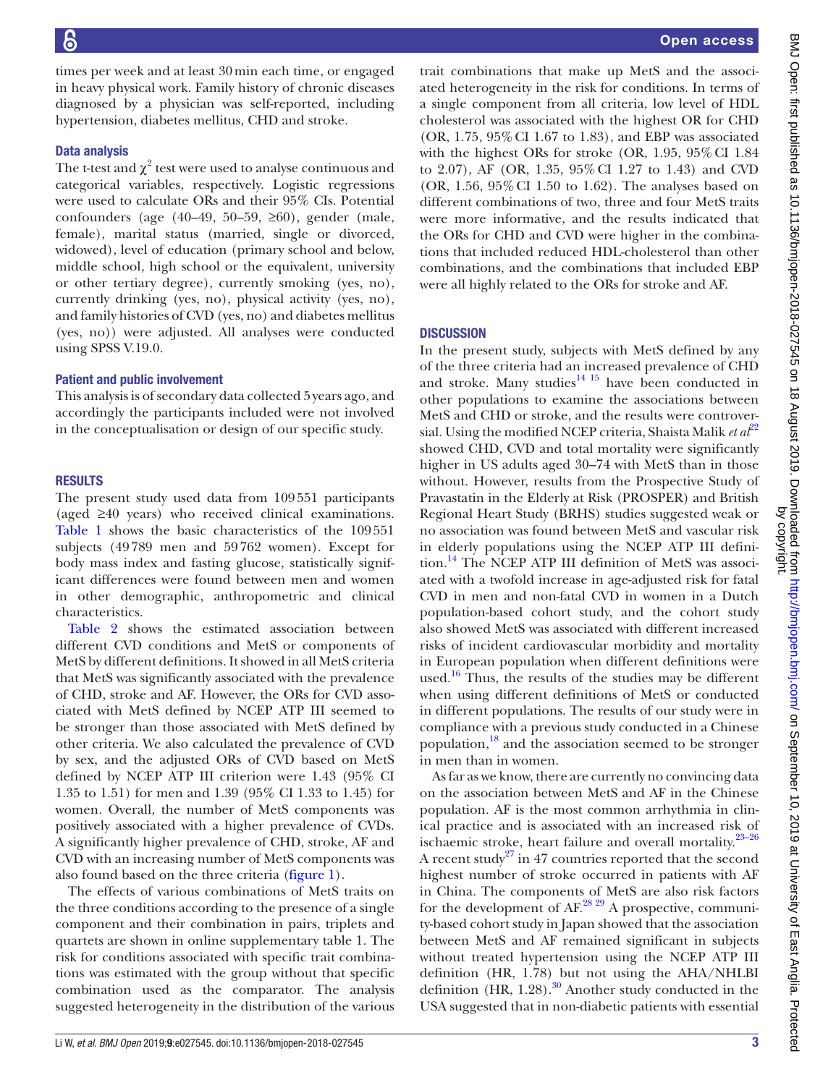times per week and at least 30min each time, or engaged in heavy physical work. Family history of chronic diseases diagnosed by a physician was self-reported, including hypertension, diabetes mellitus, CHD and stroke.

# Data analysis

The t-test and  $\chi^2$  test were used to analyse continuous and categorical variables, respectively. Logistic regressions were used to calculate ORs and their 95% CIs. Potential confounders (age  $(40-49, 50-59, \geq 60)$ , gender (male, female), marital status (married, single or divorced, widowed), level of education (primary school and below, middle school, high school or the equivalent, university or other tertiary degree), currently smoking (yes, no), currently drinking (yes, no), physical activity (yes, no), and family histories of CVD (yes, no) and diabetes mellitus (yes, no)) were adjusted. All analyses were conducted using SPSS V.19.0.

## Patient and public involvement

This analysis is of secondary data collected 5years ago, and accordingly the participants included were not involved in the conceptualisation or design of our specific study.

## **RESULTS**

The present study used data from 109551 participants (aged ≥40 years) who received clinical examinations. [Table](#page-3-0) 1 shows the basic characteristics of the 109551 subjects (49789 men and 59762 women). Except for body mass index and fasting glucose, statistically significant differences were found between men and women in other demographic, anthropometric and clinical characteristics.

[Table](#page-4-0) 2 shows the estimated association between different CVD conditions and MetS or components of MetS by different definitions. It showed in all MetS criteria that MetS was significantly associated with the prevalence of CHD, stroke and AF. However, the ORs for CVD associated with MetS defined by NCEP ATP III seemed to be stronger than those associated with MetS defined by other criteria. We also calculated the prevalence of CVD by sex, and the adjusted ORs of CVD based on MetS defined by NCEP ATP III criterion were 1.43 (95% CI 1.35 to 1.51) for men and 1.39 (95% CI 1.33 to 1.45) for women. Overall, the number of MetS components was positively associated with a higher prevalence of CVDs. A significantly higher prevalence of CHD, stroke, AF and CVD with an increasing number of MetS components was also found based on the three criteria [\(figure](#page-5-0) 1).

The effects of various combinations of MetS traits on the three conditions according to the presence of a single component and their combination in pairs, triplets and quartets are shown in [online supplementary table 1](https://dx.doi.org/10.1136/bmjopen-2018-027545). The risk for conditions associated with specific trait combinations was estimated with the group without that specific combination used as the comparator. The analysis suggested heterogeneity in the distribution of the various

trait combinations that make up MetS and the associated heterogeneity in the risk for conditions. In terms of a single component from all criteria, low level of HDL cholesterol was associated with the highest OR for CHD (OR, 1.75, 95%CI 1.67 to 1.83), and EBP was associated with the highest ORs for stroke (OR, 1.95, 95%CI 1.84 to 2.07), AF (OR, 1.35, 95%CI 1.27 to 1.43) and CVD (OR, 1.56, 95%CI 1.50 to 1.62). The analyses based on different combinations of two, three and four MetS traits were more informative, and the results indicated that the ORs for CHD and CVD were higher in the combinations that included reduced HDL-cholesterol than other combinations, and the combinations that included EBP were all highly related to the ORs for stroke and AF.

## **DISCUSSION**

In the present study, subjects with MetS defined by any of the three criteria had an increased prevalence of CHD and stroke. Many studies $14^{15}$  have been conducted in other populations to examine the associations between MetS and CHD or stroke, and the results were controversial. Using the modified NCEP criteria, Shaista Malik *et al*<sup>[22](#page-6-12)</sup> showed CHD, CVD and total mortality were significantly higher in US adults aged 30–74 with MetS than in those without. However, results from the Prospective Study of Pravastatin in the Elderly at Risk (PROSPER) and British Regional Heart Study (BRHS) studies suggested weak or no association was found between MetS and vascular risk in elderly populations using the NCEP ATP III definition.<sup>14</sup> The NCEP ATP III definition of MetS was associated with a twofold increase in age-adjusted risk for fatal CVD in men and non-fatal CVD in women in a Dutch population-based cohort study, and the cohort study also showed MetS was associated with different increased risks of incident cardiovascular morbidity and mortality in European population when different definitions were used.<sup>16</sup> Thus, the results of the studies may be different when using different definitions of MetS or conducted in different populations. The results of our study were in compliance with a previous study conducted in a Chinese population,[18](#page-6-9) and the association seemed to be stronger in men than in women.

As far as we know, there are currently no convincing data on the association between MetS and AF in the Chinese population. AF is the most common arrhythmia in clinical practice and is associated with an increased risk of ischaemic stroke, heart failure and overall mortality.[23–26](#page-6-13) A recent study<sup>[27](#page-7-0)</sup> in 47 countries reported that the second highest number of stroke occurred in patients with AF in China. The components of MetS are also risk factors for the development of AF.<sup>28</sup> 29 A prospective, community-based cohort study in Japan showed that the association between MetS and AF remained significant in subjects without treated hypertension using the NCEP ATP III definition (HR, 1.78) but not using the AHA/NHLBI definition (HR,  $1.28$ ).<sup>[30](#page-7-2)</sup> Another study conducted in the USA suggested that in non-diabetic patients with essential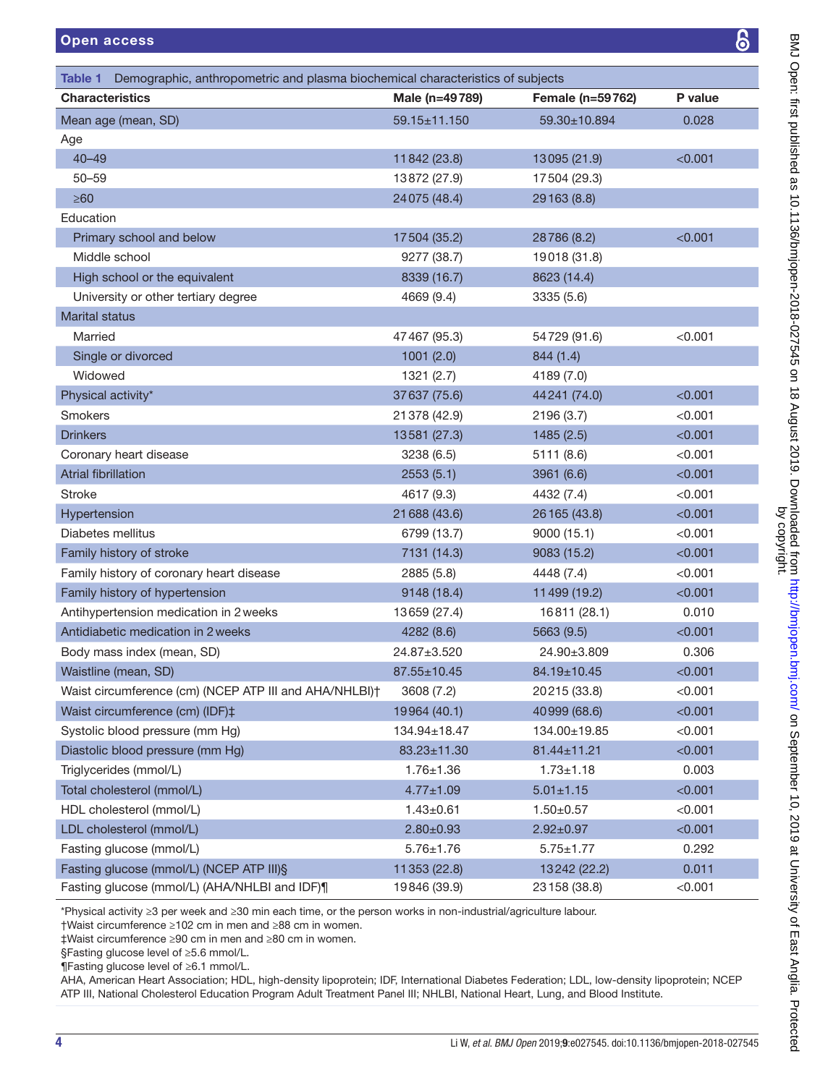<span id="page-3-0"></span>

| Table 1 Demographic, anthropometric and plasma biochemical characteristics of subjects |                 |                  |         |
|----------------------------------------------------------------------------------------|-----------------|------------------|---------|
| <b>Characteristics</b>                                                                 | Male (n=49789)  | Female (n=59762) | P value |
| Mean age (mean, SD)                                                                    | 59.15±11.150    | 59.30±10.894     | 0.028   |
| Age                                                                                    |                 |                  |         |
| $40 - 49$                                                                              | 11842 (23.8)    | 13095 (21.9)     | < 0.001 |
| $50 - 59$                                                                              | 13872 (27.9)    | 17504 (29.3)     |         |
| $\geq 60$                                                                              | 24075 (48.4)    | 29163 (8.8)      |         |
| Education                                                                              |                 |                  |         |
| Primary school and below                                                               | 17504 (35.2)    | 28786 (8.2)      | < 0.001 |
| Middle school                                                                          | 9277 (38.7)     | 19018 (31.8)     |         |
| High school or the equivalent                                                          | 8339 (16.7)     | 8623 (14.4)      |         |
| University or other tertiary degree                                                    | 4669 (9.4)      | 3335 (5.6)       |         |
| Marital status                                                                         |                 |                  |         |
| Married                                                                                | 47467 (95.3)    | 54729 (91.6)     | < 0.001 |
| Single or divorced                                                                     | 1001(2.0)       | 844 (1.4)        |         |
| Widowed                                                                                | 1321 (2.7)      | 4189 (7.0)       |         |
| Physical activity*                                                                     | 37637 (75.6)    | 44 241 (74.0)    | < 0.001 |
| Smokers                                                                                | 21378 (42.9)    | 2196 (3.7)       | < 0.001 |
| <b>Drinkers</b>                                                                        | 13581 (27.3)    | 1485(2.5)        | < 0.001 |
| Coronary heart disease                                                                 | 3238 (6.5)      | 5111 (8.6)       | < 0.001 |
| Atrial fibrillation                                                                    | 2553(5.1)       | 3961 (6.6)       | < 0.001 |
| <b>Stroke</b>                                                                          | 4617 (9.3)      | 4432 (7.4)       | < 0.001 |
| Hypertension                                                                           | 21 688 (43.6)   | 26165 (43.8)     | < 0.001 |
| Diabetes mellitus                                                                      | 6799 (13.7)     | 9000(15.1)       | < 0.001 |
| Family history of stroke                                                               | 7131 (14.3)     | 9083 (15.2)      | < 0.001 |
| Family history of coronary heart disease                                               | 2885 (5.8)      | 4448 (7.4)       | < 0.001 |
| Family history of hypertension                                                         | 9148 (18.4)     | 11499 (19.2)     | < 0.001 |
| Antihypertension medication in 2 weeks                                                 | 13659 (27.4)    | 16811 (28.1)     | 0.010   |
| Antidiabetic medication in 2 weeks                                                     | 4282 (8.6)      | 5663 (9.5)       | < 0.001 |
| Body mass index (mean, SD)                                                             | 24.87±3.520     | 24.90±3.809      | 0.306   |
| Waistline (mean, SD)                                                                   | 87.55±10.45     | 84.19±10.45      | < 0.001 |
| Waist circumference (cm) (NCEP ATP III and AHA/NHLBI)+                                 | 3608 (7.2)      | 20215 (33.8)     | < 0.001 |
| Waist circumference (cm) (IDF) ‡                                                       | 19964 (40.1)    | 40999 (68.6)     | < 0.001 |
| Systolic blood pressure (mm Hg)                                                        | 134.94±18.47    | 134.00±19.85     | < 0.001 |
| Diastolic blood pressure (mm Hg)                                                       | 83.23±11.30     | 81.44±11.21      | < 0.001 |
| Triglycerides (mmol/L)                                                                 | $1.76 \pm 1.36$ | $1.73 \pm 1.18$  | 0.003   |
| Total cholesterol (mmol/L)                                                             | $4.77 \pm 1.09$ | $5.01 \pm 1.15$  | < 0.001 |
| HDL cholesterol (mmol/L)                                                               | $1.43 \pm 0.61$ | $1.50 \pm 0.57$  | < 0.001 |
| LDL cholesterol (mmol/L)                                                               | $2.80 \pm 0.93$ | $2.92 \pm 0.97$  | < 0.001 |
| Fasting glucose (mmol/L)                                                               | $5.76 \pm 1.76$ | $5.75 \pm 1.77$  | 0.292   |
| Fasting glucose (mmol/L) (NCEP ATP III)§                                               | 11353 (22.8)    | 13242 (22.2)     | 0.011   |
| Fasting glucose (mmol/L) (AHA/NHLBI and IDF)¶                                          | 19846 (39.9)    | 23158 (38.8)     | < 0.001 |

\*Physical activity ≥3 per week and ≥30 min each time, or the person works in non-industrial/agriculture labour.

†Waist circumference ≥102 cm in men and ≥88 cm in women.

‡Waist circumference ≥90 cm in men and ≥80 cm in women.

§Fasting glucose level of ≥5.6 mmol/L.

¶Fasting glucose level of ≥6.1 mmol/L.

AHA, American Heart Association; HDL, high-density lipoprotein; IDF, International Diabetes Federation; LDL, low-density lipoprotein; NCEP ATP III, National Cholesterol Education Program Adult Treatment Panel III; NHLBI, National Heart, Lung, and Blood Institute.

R

by copyright. BMJ Open: first published as 10.1136/bmjopen-2018-027545 on 18 August 2019. Downloaded from lownloaded fromppen. bmj.com/ on September 10, 2019 at University of East Anglia. Protected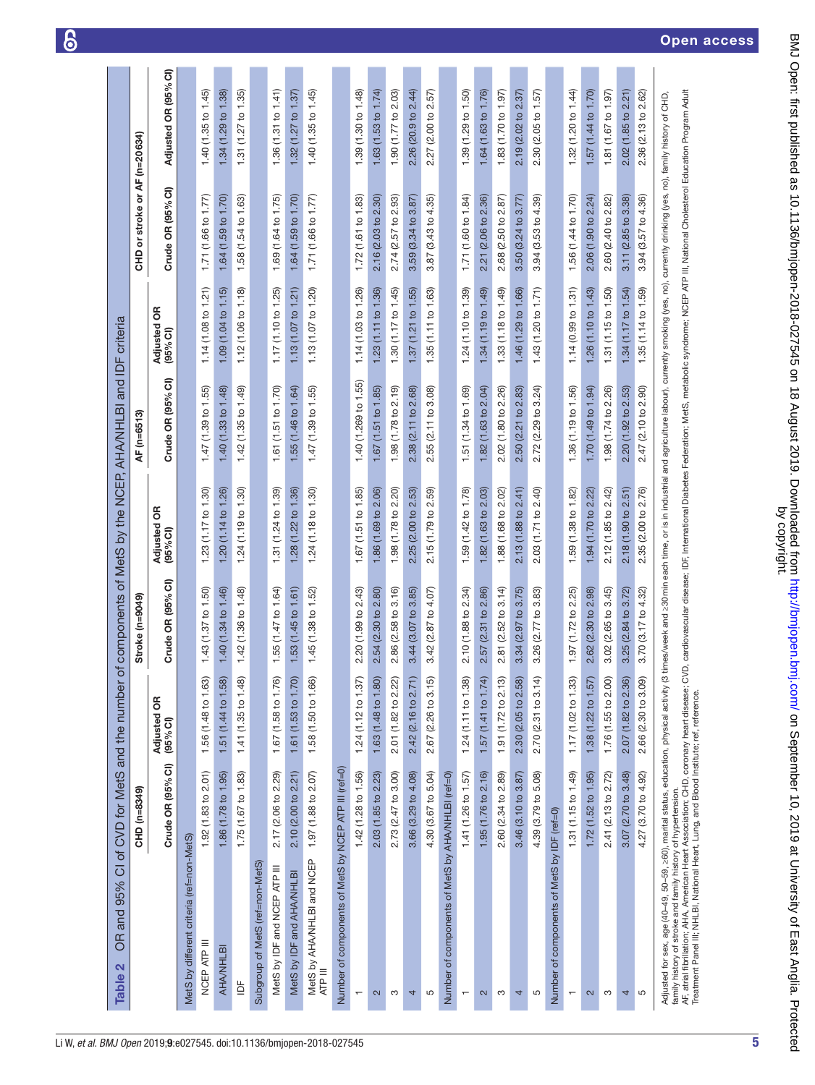<span id="page-4-0"></span>

| and 95%<br>$\frac{1}{2}$<br>$\mathbf{\Omega}$<br><b>Table</b>                                                                                                                                                                                                                                                                                      | CI of CVD for MetS and the number<br>CHD (n=8349) |                         | of components of MetS by the NCEP,<br>Stroke (n=9049) |                              | AHA/NHLBI<br>AF (n=6513)                                                                                                                                                                                                                                                                                                  | and IDF criteria        | CHD or stroke or AF (n=20634) |                         |
|----------------------------------------------------------------------------------------------------------------------------------------------------------------------------------------------------------------------------------------------------------------------------------------------------------------------------------------------------|---------------------------------------------------|-------------------------|-------------------------------------------------------|------------------------------|---------------------------------------------------------------------------------------------------------------------------------------------------------------------------------------------------------------------------------------------------------------------------------------------------------------------------|-------------------------|-------------------------------|-------------------------|
|                                                                                                                                                                                                                                                                                                                                                    | Crude OR (95% CI)                                 | Adjusted OR<br>(95% C1) | Crude OR (95% CI)                                     | <b>Adjusted OR</b><br>(95%C) | Crude OR (95% CI)                                                                                                                                                                                                                                                                                                         | Adjusted OR<br>(95% C1) | Crude OR (95% CI)             | Adjusted OR (95% CI)    |
| MetS by different criteria (ref=non-MetS)                                                                                                                                                                                                                                                                                                          |                                                   |                         |                                                       |                              |                                                                                                                                                                                                                                                                                                                           |                         |                               |                         |
| NCEP ATP III                                                                                                                                                                                                                                                                                                                                       | 1.92 (1.83 to 2.01)                               | 1.56 (1.48 to 1.63)     | 1.43 (1.37 to 1.50)                                   | 1.23 (1.17 to 1.30)          | 1.47 (1.39 to 1.55)                                                                                                                                                                                                                                                                                                       | 1.14(1.08 to 1.21)      | 1.71 (1.66 to 1.77)           | 1.40(1.35 to 1.45)      |
| AHA/NHLBI                                                                                                                                                                                                                                                                                                                                          | 1.86 (1.78 to 1.95)                               | 1.51(1.44 to 1.58)      | 1.40 (1.34 to 1.46)                                   | 1.20 (1.14 to 1.26)          | 1.40 (1.33 to 1.48)                                                                                                                                                                                                                                                                                                       | 1.09 (1.04 to 1.15)     | 1.64 (1.59 to 1.70)           | 1.34 (1.29 to 1.38)     |
| $\overline{D}$                                                                                                                                                                                                                                                                                                                                     | 1.75 (1.67 to 1.83)                               | 1.41 (1.35 to 1.48)     | 1.42 (1.36 to 1.48)                                   | 1.24 (1.19 to 1.30)          | 1.42 (1.35 to 1.49)                                                                                                                                                                                                                                                                                                       | 1.12 (1.06 to 1.18)     | 1.58 (1.54 to 1.63)           | 1.31(1.27 to 1.35)      |
| Subgroup of MetS (ref=non-MetS)                                                                                                                                                                                                                                                                                                                    |                                                   |                         |                                                       |                              |                                                                                                                                                                                                                                                                                                                           |                         |                               |                         |
| MetS by IDF and NCEP ATP III                                                                                                                                                                                                                                                                                                                       | 2.17 (2.06 to 2.29)                               | 1.67 (1.58 to 1.76)     | 1.55 (1.47 to 1.64)                                   | 1.31(1.24 to 1.39)           | 1.61 (1.51 to 1.70)                                                                                                                                                                                                                                                                                                       | 1.17(1.10 to 1.25)      | 1.69 (1.64 to 1.75)           | 1.36(1.31 to 1.41)      |
| MetS by IDF and AHA/NHLBI                                                                                                                                                                                                                                                                                                                          | 2.10 (2.00 to 2.21)                               | 1.61 (1.53 to 1.70)     | 53 (1.45 to 1.61)                                     | 1.28 (1.22 to 1.36)          | 1.55 (1.46 to 1.64)                                                                                                                                                                                                                                                                                                       | 1.13(1.07 to 1.21)      | 1.64 (1.59 to 1.70)           | 1.32(1.27 to 1.37)      |
| MetS by AHA/NHLBI and NCEP<br>ATP III                                                                                                                                                                                                                                                                                                              | 1.97 (1.88 to 2.07)                               | 1.58 (1.50 to 1.66)     | 1.45 (1.38 to 1.52)                                   | 1.24 (1.18 to 1.30)          | 1.47 (1.39 to 1.55)                                                                                                                                                                                                                                                                                                       | 1.13 (1.07 to 1.20)     | 1.71 (1.66 to 1.77)           | 1.40 (1.35 to 1.45)     |
| Number of components of MetS by NCEP ATP III (ref=0)                                                                                                                                                                                                                                                                                               |                                                   |                         |                                                       |                              |                                                                                                                                                                                                                                                                                                                           |                         |                               |                         |
| ↽                                                                                                                                                                                                                                                                                                                                                  | 1.42 (1.28 to 1.56)                               | 1.24 (1.12 to 1.37)     | 20 (1.99 to 2.43)<br>Νi                               | 1.67 (1.51 to 1.85)          | 1.40 (1.269 to 1.55)                                                                                                                                                                                                                                                                                                      | 1.14 (1.03 to 1.26)     | 1.72 (1.61 to 1.83)           | 1.39 (1.30 to 1.48)     |
| $\mathbf{z}$                                                                                                                                                                                                                                                                                                                                       | 2.03 (1.85 to 2.23)                               | 1.63 (1.48 to 1.80)     | .54 (2.30 to 2.80)<br>2.i                             | 1.86 (1.69 to 2.06)          | (1.51 to 1.85)<br>1.67                                                                                                                                                                                                                                                                                                    | 1.23 (1.11 to 1.36)     | 2.16 (2.03 to 2.30)           | 1.63 (1.53 to 1.74)     |
| S                                                                                                                                                                                                                                                                                                                                                  | 2.73 (2.47 to 3.00)                               | 2.01 (1.82 to 2.22)     | 86 (2.58 to 3.16)<br>2.                               | 1.98 (1.78 to 2.20)          | 1.98 (1.78 to 2.19)                                                                                                                                                                                                                                                                                                       | 1.30 (1.17 to 1.45)     | 2.74 (2.57 to 2.93)           | 1.90 (1.77 to 2.03)     |
| 4                                                                                                                                                                                                                                                                                                                                                  | 3.66 (3.29 to 4.08)                               | 2.42 (2.16 to 2.71)     | 3.44 (3.07 to 3.85)                                   | 2.25 (2.00 to 2.53)          | 2.38 (2.11 to 2.68)                                                                                                                                                                                                                                                                                                       | 1.37(1.21 to 1.55)      | 3.59 (3.34 to 3.87)           | 2.26 (20.9 to 2.44)     |
| 5                                                                                                                                                                                                                                                                                                                                                  | 4.30 (3.67 to 5.04)                               | 2.67 (2.26 to 3.15)     | 3.42 (2.87 to 4.07)                                   | 2.15 (1.79 to 2.59)          | 2.55 (2.11 to 3.08)                                                                                                                                                                                                                                                                                                       | 1.35(1.11 to 1.63)      | 3.87(3.43 to 4.35)            | 27 (2.00 to 2.57)<br>2. |
| Number of components of MetS by AHA/NHLBI (ref=0)                                                                                                                                                                                                                                                                                                  |                                                   |                         |                                                       |                              |                                                                                                                                                                                                                                                                                                                           |                         |                               |                         |
| T                                                                                                                                                                                                                                                                                                                                                  | 1.41 (1.26 to 1.57)                               | 1.24 (1.11 to 1.38)     | 2.10 (1.88 to 2.34)                                   | 1.59 (1.42 to 1.78)          | 1.51(1.34 to 1.69)                                                                                                                                                                                                                                                                                                        | 1.24 (1.10 to 1.39)     | 1.71 (1.60 to 1.84)           | 1.39 (1.29 to 1.50)     |
| $\mathbf{\Omega}$                                                                                                                                                                                                                                                                                                                                  | 1.95 (1.76 to 2.16)                               | 1.57 (1.41 to 1.74)     | (2.31 to 2.86)<br>57<br>2.i                           | 1.82 (1.63 to 2.03)          | $.82$ (1.63 to 2.04)                                                                                                                                                                                                                                                                                                      | .34(1.19 to 1.49)       | 2.21 (2.06 to 2.36)           | 1.64 (1.63 to 1.76)     |
| S                                                                                                                                                                                                                                                                                                                                                  | 2.60 (2.34 to 2.89)                               | 1.91 (1.72 to $2.13$ )  | 2.81 (2.52 to 3.14)                                   | 1.88 (1.68 to 2.02)          | 2.02 (1.80 to 2.26)                                                                                                                                                                                                                                                                                                       | 1.33(1.18 to 1.49)      | 2.68 (2.50 to 2.87)           | 1.83 (1.70 to 1.97)     |
| 4                                                                                                                                                                                                                                                                                                                                                  | 3.46(3.10 to 3.87)                                | 2.30 (2.05 to 2.58)     | 3.34 (2.97 to 3.75)                                   | 2.13 (1.88 to 2.41)          | 2.50 (2.21 to 2.83)                                                                                                                                                                                                                                                                                                       | 1.46 (1.29 to 1.66)     | 3.50 (3.24 to 3.77)           | 2.19 (2.02 to 2.37)     |
| Б                                                                                                                                                                                                                                                                                                                                                  | 4.39 (3.79 to 5.08)                               | 2.70 (2.31 to 3.14)     | 26 (2.77 to 3.83)<br>ကံ                               | 2.03 (1.71 to 2.40)          | 2.72 (2.29 to 3.24)                                                                                                                                                                                                                                                                                                       | 1.43(1.20 to 1.71)      | 3.94 (3.53 to 4.39)           | 2.30 (2.05 to 1.57)     |
| Number of components of MetS by IDF (ref=0)                                                                                                                                                                                                                                                                                                        |                                                   |                         |                                                       |                              |                                                                                                                                                                                                                                                                                                                           |                         |                               |                         |
| $\overline{\phantom{0}}$                                                                                                                                                                                                                                                                                                                           | 1.31 (1.15 to 1.49)                               | 1.17 (1.02 to 1.33)     | 1.97 (1.72 to 2.25)                                   | 1.59 (1.38 to 1.82)          | 1.36 (1.19 to 1.56)                                                                                                                                                                                                                                                                                                       | 1.14(0.99 to 1.31)      | 1.56 (1.44 to 1.70)           | 1.32 (1.20 to 1.44)     |
| $\mathbf{\Omega}$                                                                                                                                                                                                                                                                                                                                  | 1.72(1.52 to 1.95)                                | 1.38(1.22 to 1.57)      | 2.62 (2.30 to 2.98)                                   | 1.94 (1.70 to 2.22)          | 1.70 (1.49 to 1.94)                                                                                                                                                                                                                                                                                                       | 1.26(1.10 to 1.43)      | 2.06 (1.90 to 2.24)           | 1.57 (1.44 to 1.70)     |
| S                                                                                                                                                                                                                                                                                                                                                  | 2.41 (2.13 to 2.72)                               | 1.76 (1.55 to 2.00)     | 3.02 (2.65 to 3.45)                                   | 2.12 (1.85 to 2.42)          | 1.98 (1.74 to 2.26)                                                                                                                                                                                                                                                                                                       | 1.31 (1.15 to 1.50)     | 2.60 (2.40 to 2.82)           | 1.81 (1.67 to 1.97)     |
| 4                                                                                                                                                                                                                                                                                                                                                  | 3.07 (2.70 to 3.48)                               | 2.07 (1.82 to 2.36)     | 3.25 (2.84 to 3.72)                                   | 2.18 (1.90 to 2.51)          | 2.20 (1.92 to 2.53)                                                                                                                                                                                                                                                                                                       | 1.34(1.17 to 1.54)      | 3.11 (2.85 to 3.38)           | 2.02 (1.85 to 2.21)     |
| S                                                                                                                                                                                                                                                                                                                                                  | 4.27 (3.70 to 4.92)                               | 2.66 (2.30 to 3.09)     | 3.70 (3.17 to 4.32)                                   | 2.35 (2.00 to 2.76)          | 2.47 (2.10 to 2.90)                                                                                                                                                                                                                                                                                                       | 1.35 (1.14 to 1.59)     | 3.94 (3.57 to 4.36)           | 2.36 (2.13 to 2.62)     |
| Adjusted for sex, age (40-49, 50-59, ≥60), marital status, education, physical activity (3 t<br>AF, atrial fibrillation; AHA, American Heart Association; CHD, coronary heart disease; CV<br>Treatment Panel III; NHLBI, National Heart, Lung, and Blood Institute; ref, reference.<br>family history of stroke and family history of hypertension |                                                   |                         |                                                       |                              | D, cardiovascular disease; IDF, International Diabetes Federation; MetS, metabolic syndrome; NCEP ATP III, National Cholesterol Education Program Adult<br>mes/week and ≥30 min each time, or is in industrial and agriculture labour), currently smoking (yes, no), currently drinking (yes, no), family history of CHD, |                         |                               |                         |

 $\epsilon$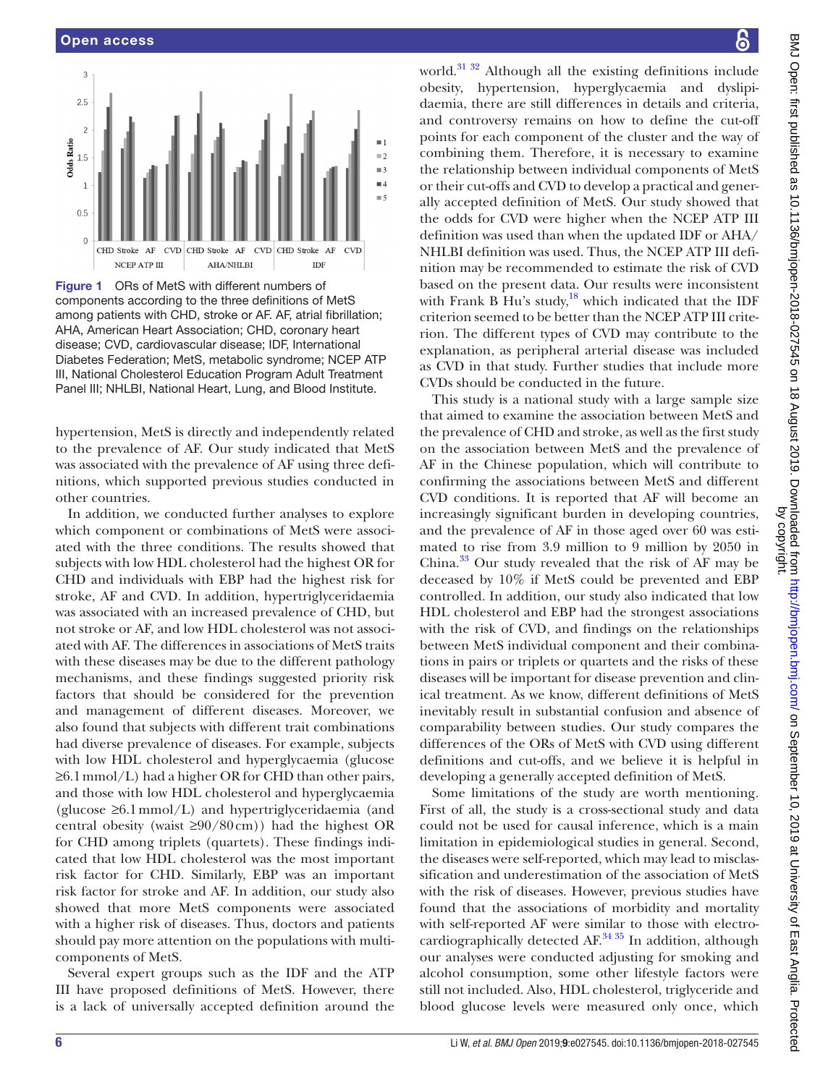

<span id="page-5-0"></span>Figure 1 ORs of MetS with different numbers of components according to the three definitions of MetS among patients with CHD, stroke or AF. AF, atrial fibrillation; AHA, American Heart Association; CHD, coronary heart disease; CVD, cardiovascular disease; IDF, International Diabetes Federation; MetS, metabolic syndrome; NCEP ATP III, National Cholesterol Education Program Adult Treatment Panel III; NHLBI, National Heart, Lung, and Blood Institute.

hypertension, MetS is directly and independently related to the prevalence of AF. Our study indicated that MetS was associated with the prevalence of AF using three definitions, which supported previous studies conducted in other countries.

In addition, we conducted further analyses to explore which component or combinations of MetS were associated with the three conditions. The results showed that subjects with low HDL cholesterol had the highest OR for CHD and individuals with EBP had the highest risk for stroke, AF and CVD. In addition, hypertriglyceridaemia was associated with an increased prevalence of CHD, but not stroke or AF, and low HDL cholesterol was not associated with AF. The differences in associations of MetS traits with these diseases may be due to the different pathology mechanisms, and these findings suggested priority risk factors that should be considered for the prevention and management of different diseases. Moreover, we also found that subjects with different trait combinations had diverse prevalence of diseases. For example, subjects with low HDL cholesterol and hyperglycaemia (glucose  $\geq 6.1$  mmol/L) had a higher OR for CHD than other pairs, and those with low HDL cholesterol and hyperglycaemia (glucose  $\geq 6.1$  mmol/L) and hypertriglyceridaemia (and central obesity (waist  $\geq 90/80$  cm)) had the highest OR for CHD among triplets (quartets). These findings indicated that low HDL cholesterol was the most important risk factor for CHD. Similarly, EBP was an important risk factor for stroke and AF. In addition, our study also showed that more MetS components were associated with a higher risk of diseases. Thus, doctors and patients should pay more attention on the populations with multicomponents of MetS.

Several expert groups such as the IDF and the ATP III have proposed definitions of MetS. However, there is a lack of universally accepted definition around the

world.<sup>31 32</sup> Although all the existing definitions include obesity, hypertension, hyperglycaemia and dyslipidaemia, there are still differences in details and criteria, and controversy remains on how to define the cut-off points for each component of the cluster and the way of combining them. Therefore, it is necessary to examine the relationship between individual components of MetS or their cut-offs and CVD to develop a practical and generally accepted definition of MetS. Our study showed that the odds for CVD were higher when the NCEP ATP III definition was used than when the updated IDF or AHA/ NHLBI definition was used. Thus, the NCEP ATP III definition may be recommended to estimate the risk of CVD based on the present data. Our results were inconsistent with Frank B Hu's study, $18$  which indicated that the IDF criterion seemed to be better than the NCEP ATP III criterion. The different types of CVD may contribute to the explanation, as peripheral arterial disease was included as CVD in that study. Further studies that include more CVDs should be conducted in the future.

This study is a national study with a large sample size that aimed to examine the association between MetS and the prevalence of CHD and stroke, as well as the first study on the association between MetS and the prevalence of AF in the Chinese population, which will contribute to confirming the associations between MetS and different CVD conditions. It is reported that AF will become an increasingly significant burden in developing countries, and the prevalence of AF in those aged over 60 was estimated to rise from 3.9 million to 9 million by 2050 in China.[33](#page-7-4) Our study revealed that the risk of AF may be deceased by 10% if MetS could be prevented and EBP controlled. In addition, our study also indicated that low HDL cholesterol and EBP had the strongest associations with the risk of CVD, and findings on the relationships between MetS individual component and their combinations in pairs or triplets or quartets and the risks of these diseases will be important for disease prevention and clinical treatment. As we know, different definitions of MetS inevitably result in substantial confusion and absence of comparability between studies. Our study compares the differences of the ORs of MetS with CVD using different definitions and cut-offs, and we believe it is helpful in developing a generally accepted definition of MetS.

Some limitations of the study are worth mentioning. First of all, the study is a cross-sectional study and data could not be used for causal inference, which is a main limitation in epidemiological studies in general. Second, the diseases were self-reported, which may lead to misclassification and underestimation of the association of MetS with the risk of diseases. However, previous studies have found that the associations of morbidity and mortality with self-reported AF were similar to those with electrocardiographically detected AF. $3435$  In addition, although our analyses were conducted adjusting for smoking and alcohol consumption, some other lifestyle factors were still not included. Also, HDL cholesterol, triglyceride and blood glucose levels were measured only once, which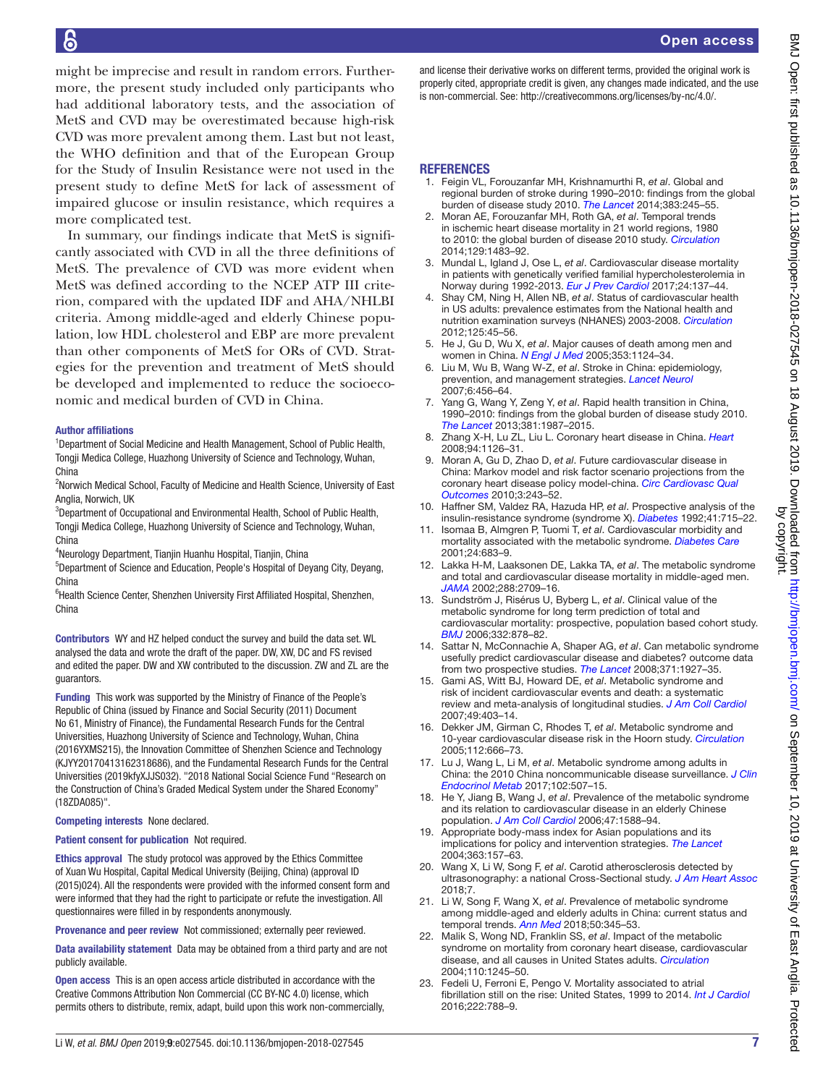might be imprecise and result in random errors. Furthermore, the present study included only participants who had additional laboratory tests, and the association of MetS and CVD may be overestimated because high-risk CVD was more prevalent among them. Last but not least, the WHO definition and that of the European Group for the Study of Insulin Resistance were not used in the present study to define MetS for lack of assessment of impaired glucose or insulin resistance, which requires a more complicated test.

In summary, our findings indicate that MetS is significantly associated with CVD in all the three definitions of MetS. The prevalence of CVD was more evident when MetS was defined according to the NCEP ATP III criterion, compared with the updated IDF and AHA/NHLBI criteria. Among middle-aged and elderly Chinese population, low HDL cholesterol and EBP are more prevalent than other components of MetS for ORs of CVD. Strategies for the prevention and treatment of MetS should be developed and implemented to reduce the socioeconomic and medical burden of CVD in China.

#### Author affiliations

<sup>1</sup>Department of Social Medicine and Health Management, School of Public Health, Tongji Medica College, Huazhong University of Science and Technology, Wuhan, China

<sup>2</sup>Norwich Medical School, Faculty of Medicine and Health Science, University of East Anglia, Norwich, UK

<sup>3</sup>Department of Occupational and Environmental Health, School of Public Health, Tongji Medica College, Huazhong University of Science and Technology, Wuhan, China

4 Neurology Department, Tianjin Huanhu Hospital, Tianjin, China

<sup>5</sup>Department of Science and Education, People's Hospital of Deyang City, Deyang, China

<sup>6</sup>Health Science Center, Shenzhen University First Affiliated Hospital, Shenzhen, China

Contributors WY and HZ helped conduct the survey and build the data set. WL analysed the data and wrote the draft of the paper. DW, XW, DC and FS revised and edited the paper. DW and XW contributed to the discussion. ZW and ZL are the guarantors.

Funding This work was supported by the Ministry of Finance of the People's Republic of China (issued by Finance and Social Security (2011) Document No 61, Ministry of Finance), the Fundamental Research Funds for the Central Universities, Huazhong University of Science and Technology, Wuhan, China (2016YXMS215), the Innovation Committee of Shenzhen Science and Technology (KJYY20170413162318686), and the Fundamental Research Funds for the Central Universities (2019kfyXJJS032). "2018 National Social Science Fund "Research on the Construction of China's Graded Medical System under the Shared Economy" (18ZDA085)".

Competing interests None declared.

#### Patient consent for publication Not required.

Ethics approval The study protocol was approved by the Ethics Committee of Xuan Wu Hospital, Capital Medical University (Beijing, China) (approval ID (2015)024). All the respondents were provided with the informed consent form and were informed that they had the right to participate or refute the investigation. All questionnaires were filled in by respondents anonymously.

Provenance and peer review Not commissioned; externally peer reviewed.

Data availability statement Data may be obtained from a third party and are not publicly available.

Open access This is an open access article distributed in accordance with the Creative Commons Attribution Non Commercial (CC BY-NC 4.0) license, which permits others to distribute, remix, adapt, build upon this work non-commercially,

BMJ Open: first published as 10.1136/bmjopen-2018-027545 on 18 August 2019. Downloaded from http://bmjopen.bmj.com/ on September 10, 2019 at University of East Anglia. Protected BMJ Open: first published as 10.1136/bmjopen-2018-027545 on 18 August 2019. Downloaded from lownloaded fromppen. bmj.com/ on September 10, 2019 at University of East Anglia. Protected by copyright. by copyright.

and license their derivative works on different terms, provided the original work is properly cited, appropriate credit is given, any changes made indicated, and the use is non-commercial. See: [http://creativecommons.org/licenses/by-nc/4.0/.](http://creativecommons.org/licenses/by-nc/4.0/)

#### **REFERENCES**

- <span id="page-6-0"></span>1. Feigin VL, Forouzanfar MH, Krishnamurthi R, *et al*. Global and regional burden of stroke during 1990–2010: findings from the global burden of disease study 2010. *[The Lancet](http://dx.doi.org/10.1016/S0140-6736(13)61953-4)* 2014;383:245–55.
- 2. Moran AE, Forouzanfar MH, Roth GA, *et al*. Temporal trends in ischemic heart disease mortality in 21 world regions, 1980 to 2010: the global burden of disease 2010 study. *[Circulation](http://dx.doi.org/10.1161/CIRCULATIONAHA.113.004042)* 2014;129:1483–92.
- 3. Mundal L, Igland J, Ose L, *et al*. Cardiovascular disease mortality in patients with genetically verified familial hypercholesterolemia in Norway during 1992-2013. *[Eur J Prev Cardiol](http://dx.doi.org/10.1177/2047487316676135)* 2017;24:137–44.
- 4. Shay CM, Ning H, Allen NB, *et al*. Status of cardiovascular health in US adults: prevalence estimates from the National health and nutrition examination surveys (NHANES) 2003-2008. *[Circulation](http://dx.doi.org/10.1161/CIRCULATIONAHA.111.035733)* 2012;125:45–56.
- <span id="page-6-1"></span>5. He J, Gu D, Wu X, *et al*. Major causes of death among men and women in China. *[N Engl J Med](http://dx.doi.org/10.1056/NEJMsa050467)* 2005;353:1124–34.
- 6. Liu M, Wu B, Wang W-Z, *et al*. Stroke in China: epidemiology, prevention, and management strategies. *[Lancet Neurol](http://dx.doi.org/10.1016/S1474-4422(07)70004-2)* 2007;6:456–64.
- 7. Yang G, Wang Y, Zeng Y, *et al*. Rapid health transition in China, 1990–2010: findings from the global burden of disease study 2010. *[The Lancet](http://dx.doi.org/10.1016/S0140-6736(13)61097-1)* 2013;381:1987–2015.
- 8. Zhang X-H, Lu ZL, Liu L. Coronary heart disease in China. *[Heart](http://dx.doi.org/10.1136/hrt.2007.132423)* 2008;94:1126–31.
- <span id="page-6-2"></span>9. Moran A, Gu D, Zhao D, *et al*. Future cardiovascular disease in China: Markov model and risk factor scenario projections from the coronary heart disease policy model-china. *[Circ Cardiovasc Qual](http://dx.doi.org/10.1161/CIRCOUTCOMES.109.910711)  [Outcomes](http://dx.doi.org/10.1161/CIRCOUTCOMES.109.910711)* 2010;3:243–52.
- <span id="page-6-3"></span>10. Haffner SM, Valdez RA, Hazuda HP, *et al*. Prospective analysis of the insulin-resistance syndrome (syndrome X). *[Diabetes](http://dx.doi.org/10.2337/diab.41.6.715)* 1992;41:715–22.
- <span id="page-6-4"></span>11. Isomaa B, Almgren P, Tuomi T, *et al*. Cardiovascular morbidity and mortality associated with the metabolic syndrome. *[Diabetes Care](http://dx.doi.org/10.2337/diacare.24.4.683)* 2001;24:683–9.
- 12. Lakka H-M, Laaksonen DE, Lakka TA, *et al*. The metabolic syndrome and total and cardiovascular disease mortality in middle-aged men. *[JAMA](http://dx.doi.org/10.1001/jama.288.21.2709)* 2002;288:2709–16.
- 13. Sundström J, Risérus U, Byberg L, *et al*. Clinical value of the metabolic syndrome for long term prediction of total and cardiovascular mortality: prospective, population based cohort study. *[BMJ](http://dx.doi.org/10.1136/bmj.38766.624097.1F)* 2006;332:878–82.
- <span id="page-6-5"></span>14. Sattar N, McConnachie A, Shaper AG, *et al*. Can metabolic syndrome usefully predict cardiovascular disease and diabetes? outcome data from two prospective studies. *[The Lancet](http://dx.doi.org/10.1016/S0140-6736(08)60602-9)* 2008;371:1927–35.
- <span id="page-6-6"></span>15. Gami AS, Witt BJ, Howard DE, *et al*. Metabolic syndrome and risk of incident cardiovascular events and death: a systematic review and meta-analysis of longitudinal studies. *[J Am Coll Cardiol](http://dx.doi.org/10.1016/j.jacc.2006.09.032)* 2007;49:403–14.
- <span id="page-6-7"></span>16. Dekker JM, Girman C, Rhodes T, *et al*. Metabolic syndrome and 10-year cardiovascular disease risk in the Hoorn study. *[Circulation](http://dx.doi.org/10.1161/CIRCULATIONAHA.104.516948)* 2005;112:666–73.
- <span id="page-6-8"></span>17. Lu J, Wang L, Li M, *et al*. Metabolic syndrome among adults in China: the 2010 China noncommunicable disease surveillance. *[J Clin](http://dx.doi.org/10.1210/jc.2016-2477)  [Endocrinol Metab](http://dx.doi.org/10.1210/jc.2016-2477)* 2017;102:507–15.
- <span id="page-6-9"></span>18. He Y, Jiang B, Wang J, *et al*. Prevalence of the metabolic syndrome and its relation to cardiovascular disease in an elderly Chinese population. *[J Am Coll Cardiol](http://dx.doi.org/10.1016/j.jacc.2005.11.074)* 2006;47:1588–94.
- <span id="page-6-10"></span>19. Appropriate body-mass index for Asian populations and its implications for policy and intervention strategies. *[The Lancet](http://dx.doi.org/10.1016/S0140-6736(03)15268-3)* 2004;363:157–63.
- <span id="page-6-11"></span>20. Wang X, Li W, Song F, *et al*. Carotid atherosclerosis detected by ultrasonography: a national Cross‐Sectional study. *[J Am Heart Assoc](http://dx.doi.org/10.1161/JAHA.118.008701)* 2018;7.
- 21. Li W, Song F, Wang X, *et al*. Prevalence of metabolic syndrome among middle-aged and elderly adults in China: current status and temporal trends. *[Ann Med](http://dx.doi.org/10.1080/07853890.2018.1464202)* 2018;50:345–53.
- <span id="page-6-12"></span>22. Malik S, Wong ND, Franklin SS, *et al*. Impact of the metabolic syndrome on mortality from coronary heart disease, cardiovascular disease, and all causes in United States adults. *[Circulation](http://dx.doi.org/10.1161/01.CIR.0000140677.20606.0E)* 2004;110:1245–50.
- <span id="page-6-13"></span>23. Fedeli U, Ferroni E, Pengo V. Mortality associated to atrial fibrillation still on the rise: United States, 1999 to 2014. *[Int J Cardiol](http://dx.doi.org/10.1016/j.ijcard.2016.08.090)* 2016;222:788–9.